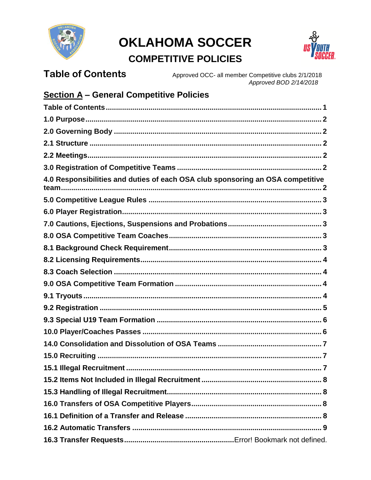

# **OKLAHOMA SOCCER**



# **COMPETITIVE POLICIES**

#### <span id="page-0-0"></span>**Table of Contents** Approved OCC- all member Competitive clubs 2/1/2018

Approved BOD 2/14/2018

# **Section A - General Competitive Policies**

| 4.0 Responsibilities and duties of each OSA club sponsoring an OSA competitive |  |
|--------------------------------------------------------------------------------|--|
|                                                                                |  |
|                                                                                |  |
|                                                                                |  |
|                                                                                |  |
|                                                                                |  |
|                                                                                |  |
|                                                                                |  |
|                                                                                |  |
|                                                                                |  |
|                                                                                |  |
|                                                                                |  |
|                                                                                |  |
|                                                                                |  |
|                                                                                |  |
|                                                                                |  |
|                                                                                |  |
|                                                                                |  |
|                                                                                |  |
|                                                                                |  |
|                                                                                |  |
|                                                                                |  |
|                                                                                |  |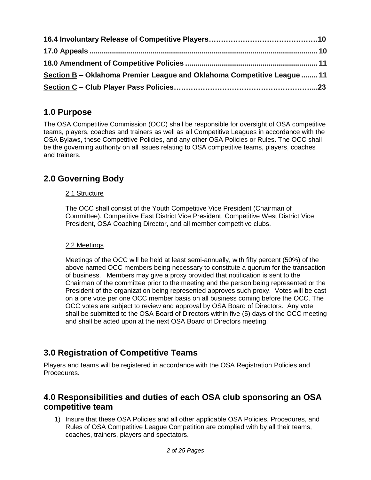| Section B - Oklahoma Premier League and Oklahoma Competitive League  11 |  |
|-------------------------------------------------------------------------|--|
|                                                                         |  |

# <span id="page-1-0"></span>**1.0 Purpose**

The OSA Competitive Commission (OCC) shall be responsible for oversight of OSA competitive teams, players, coaches and trainers as well as all Competitive Leagues in accordance with the OSA Bylaws, these Competitive Policies, and any other OSA Policies or Rules. The OCC shall be the governing authority on all issues relating to OSA competitive teams, players, coaches and trainers.

# <span id="page-1-2"></span><span id="page-1-1"></span>**2.0 Governing Body**

### 2.1 Structure

The OCC shall consist of the Youth Competitive Vice President (Chairman of Committee), Competitive East District Vice President, Competitive West District Vice President, OSA Coaching Director, and all member competitive clubs.

### <span id="page-1-3"></span>2.2 Meetings

Meetings of the OCC will be held at least semi-annually, with fifty percent (50%) of the above named OCC members being necessary to constitute a quorum for the transaction of business. Members may give a proxy provided that notification is sent to the Chairman of the committee prior to the meeting and the person being represented or the President of the organization being represented approves such proxy. Votes will be cast on a one vote per one OCC member basis on all business coming before the OCC. The OCC votes are subject to review and approval by OSA Board of Directors. Any vote shall be submitted to the OSA Board of Directors within five (5) days of the OCC meeting and shall be acted upon at the next OSA Board of Directors meeting.

## <span id="page-1-4"></span>**3.0 Registration of Competitive Teams**

Players and teams will be registered in accordance with the OSA Registration Policies and Procedures.

### <span id="page-1-5"></span>**4.0 Responsibilities and duties of each OSA club sponsoring an OSA competitive team**

1) Insure that these OSA Policies and all other applicable OSA Policies, Procedures, and Rules of OSA Competitive League Competition are complied with by all their teams, coaches, trainers, players and spectators.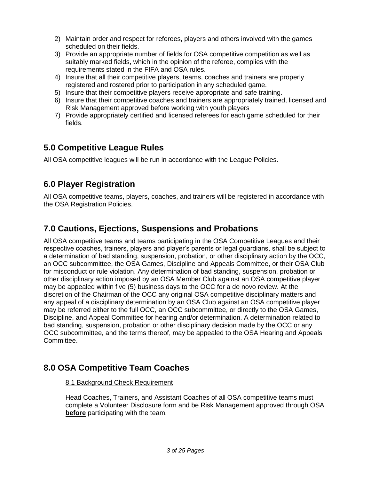- 2) Maintain order and respect for referees, players and others involved with the games scheduled on their fields.
- 3) Provide an appropriate number of fields for OSA competitive competition as well as suitably marked fields, which in the opinion of the referee, complies with the requirements stated in the FIFA and OSA rules.
- 4) Insure that all their competitive players, teams, coaches and trainers are properly registered and rostered prior to participation in any scheduled game.
- 5) Insure that their competitive players receive appropriate and safe training.
- 6) Insure that their competitive coaches and trainers are appropriately trained, licensed and Risk Management approved before working with youth players
- 7) Provide appropriately certified and licensed referees for each game scheduled for their fields.

# <span id="page-2-0"></span>**5.0 Competitive League Rules**

All OSA competitive leagues will be run in accordance with the League Policies.

# <span id="page-2-1"></span>**6.0 Player Registration**

All OSA competitive teams, players, coaches, and trainers will be registered in accordance with the OSA Registration Policies.

# <span id="page-2-2"></span>**7.0 Cautions, Ejections, Suspensions and Probations**

All OSA competitive teams and teams participating in the OSA Competitive Leagues and their respective coaches, trainers, players and player's parents or legal guardians, shall be subject to a determination of bad standing, suspension, probation, or other disciplinary action by the OCC, an OCC subcommittee, the OSA Games, Discipline and Appeals Committee, or their OSA Club for misconduct or rule violation. Any determination of bad standing, suspension, probation or other disciplinary action imposed by an OSA Member Club against an OSA competitive player may be appealed within five (5) business days to the OCC for a de novo review. At the discretion of the Chairman of the OCC any original OSA competitive disciplinary matters and any appeal of a disciplinary determination by an OSA Club against an OSA competitive player may be referred either to the full OCC, an OCC subcommittee, or directly to the OSA Games, Discipline, and Appeal Committee for hearing and/or determination. A determination related to bad standing, suspension, probation or other disciplinary decision made by the OCC or any OCC subcommittee, and the terms thereof, may be appealed to the OSA Hearing and Appeals Committee.

## <span id="page-2-4"></span><span id="page-2-3"></span>**8.0 OSA Competitive Team Coaches**

### 8.1 Background Check Requirement

Head Coaches, Trainers, and Assistant Coaches of all OSA competitive teams must complete a Volunteer Disclosure form and be Risk Management approved through OSA **before** participating with the team.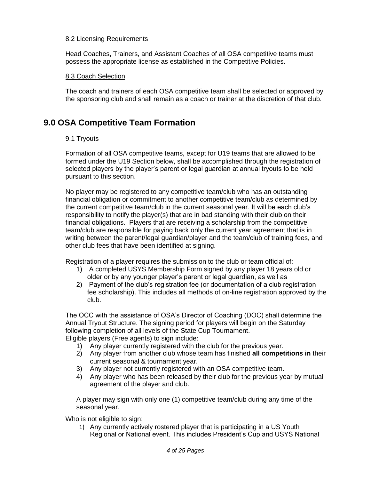#### <span id="page-3-0"></span>8.2 Licensing Requirements

Head Coaches, Trainers, and Assistant Coaches of all OSA competitive teams must possess the appropriate license as established in the Competitive Policies.

#### <span id="page-3-1"></span>8.3 Coach Selection

The coach and trainers of each OSA competitive team shall be selected or approved by the sponsoring club and shall remain as a coach or trainer at the discretion of that club.

### <span id="page-3-3"></span><span id="page-3-2"></span>**9.0 OSA Competitive Team Formation**

#### 9.1 Tryouts

Formation of all OSA competitive teams, except for U19 teams that are allowed to be formed under the U19 Section below, shall be accomplished through the registration of selected players by the player's parent or legal guardian at annual tryouts to be held pursuant to this section.

No player may be registered to any competitive team/club who has an outstanding financial obligation or commitment to another competitive team/club as determined by the current competitive team/club in the current seasonal year. It will be each club's responsibility to notify the player(s) that are in bad standing with their club on their financial obligations. Players that are receiving a scholarship from the competitive team/club are responsible for paying back only the current year agreement that is in writing between the parent/legal guardian/player and the team/club of training fees, and other club fees that have been identified at signing.

Registration of a player requires the submission to the club or team official of:

- 1) A completed USYS Membership Form signed by any player 18 years old or older or by any younger player's parent or legal guardian, as well as
- 2) Payment of the club's registration fee (or documentation of a club registration fee scholarship). This includes all methods of on-line registration approved by the club.

The OCC with the assistance of OSA's Director of Coaching (DOC) shall determine the Annual Tryout Structure. The signing period for players will begin on the Saturday following completion of all levels of the State Cup Tournament. Eligible players (Free agents) to sign include:

- 1) Any player currently registered with the club for the previous year.
- 2) Any player from another club whose team has finished **all competitions in** their current seasonal & tournament year.
- 3) Any player not currently registered with an OSA competitive team.
- 4) Any player who has been released by their club for the previous year by mutual agreement of the player and club.

A player may sign with only one (1) competitive team/club during any time of the seasonal year.

Who is not eligible to sign:

1) Any currently actively rostered player that is participating in a US Youth Regional or National event. This includes President's Cup and USYS National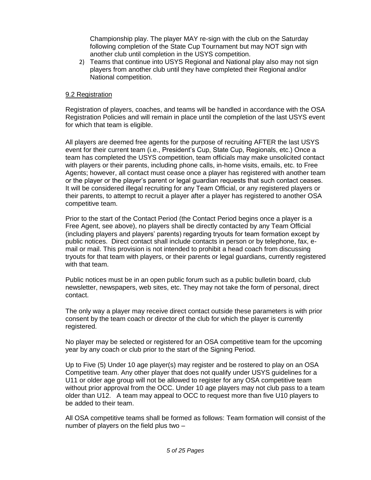Championship play. The player MAY re-sign with the club on the Saturday following completion of the State Cup Tournament but may NOT sign with another club until completion in the USYS competition.

2) Teams that continue into USYS Regional and National play also may not sign players from another club until they have completed their Regional and/or National competition.

#### <span id="page-4-0"></span>9.2 Registration

Registration of players, coaches, and teams will be handled in accordance with the OSA Registration Policies and will remain in place until the completion of the last USYS event for which that team is eligible.

All players are deemed free agents for the purpose of recruiting AFTER the last USYS event for their current team (i.e., President's Cup, State Cup, Regionals, etc.) Once a team has completed the USYS competition, team officials may make unsolicited contact with players or their parents, including phone calls, in-home visits, emails, etc. to Free Agents; however, all contact must cease once a player has registered with another team or the player or the player's parent or legal guardian requests that such contact ceases. It will be considered illegal recruiting for any Team Official, or any registered players or their parents, to attempt to recruit a player after a player has registered to another OSA competitive team.

Prior to the start of the Contact Period (the Contact Period begins once a player is a Free Agent, see above), no players shall be directly contacted by any Team Official (including players and players' parents) regarding tryouts for team formation except by public notices. Direct contact shall include contacts in person or by telephone, fax, email or mail. This provision is not intended to prohibit a head coach from discussing tryouts for that team with players, or their parents or legal guardians, currently registered with that team.

Public notices must be in an open public forum such as a public bulletin board, club newsletter, newspapers, web sites, etc. They may not take the form of personal, direct contact.

The only way a player may receive direct contact outside these parameters is with prior consent by the team coach or director of the club for which the player is currently registered.

No player may be selected or registered for an OSA competitive team for the upcoming year by any coach or club prior to the start of the Signing Period.

Up to Five (5) Under 10 age player(s) may register and be rostered to play on an OSA Competitive team. Any other player that does not qualify under USYS guidelines for a U11 or older age group will not be allowed to register for any OSA competitive team without prior approval from the OCC. Under 10 age players may not club pass to a team older than U12. A team may appeal to OCC to request more than five U10 players to be added to their team.

All OSA competitive teams shall be formed as follows: Team formation will consist of the number of players on the field plus two –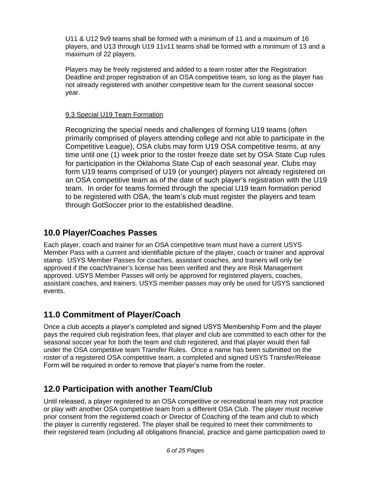U11 & U12 9v9 teams shall be formed with a minimum of 11 and a maximum of 16 players, and U13 through U19 11v11 teams shall be formed with a minimum of 13 and a maximum of 22 players.

Players may be freely registered and added to a team roster after the Registration Deadline and proper registration of an OSA competitive team, so long as the player has not already registered with another competitive team for the current seasonal soccer year.

#### <span id="page-5-0"></span>9.3 Special U19 Team Formation

Recognizing the special needs and challenges of forming U19 teams (often primarily comprised of players attending college and not able to participate in the Competitive League), OSA clubs may form U19 OSA competitive teams, at any time until one (1) week prior to the roster freeze date set by OSA State Cup rules for participation in the Oklahoma State Cup of each seasonal year. Clubs may form U19 teams comprised of U19 (or younger) players not already registered on an OSA competitive team as of the date of such player's registration with the U19 team. In order for teams formed through the special U19 team formation period to be registered with OSA, the team's club must register the players and team through GotSoccer prior to the established deadline.

### <span id="page-5-1"></span>**10.0 Player/Coaches Passes**

Each player, coach and trainer for an OSA competitive team must have a current USYS Member Pass with a current and identifiable picture of the player, coach or trainer and approval stamp. USYS Member Passes for coaches, assistant coaches, and trainers will only be approved if the coach/trainer's license has been verified and they are Risk Management approved. USYS Member Passes will only be approved for registered players, coaches, assistant coaches, and trainers. USYS member passes may only be used for USYS sanctioned events.

### **11.0 Commitment of Player/Coach**

Once a club accepts a player's completed and signed USYS Membership Form and the player pays the required club registration fees, that player and club are committed to each other for the seasonal soccer year for both the team and club registered, and that player would then fall under the OSA competitive team Transfer Rules. Once a name has been submitted on the roster of a registered OSA competitive team, a completed and signed USYS Transfer/Release Form will be required in order to remove that player's name from the roster.

### **12.0 Participation with another Team/Club**

Until released, a player registered to an OSA competitive or recreational team may not practice or play with another OSA competitive team from a different OSA Club. The player must receive prior consent from the registered coach or Director of Coaching of the team and club to which the player is currently registered. The player shall be required to meet their commitments to their registered team (including all obligations financial, practice and game participation owed to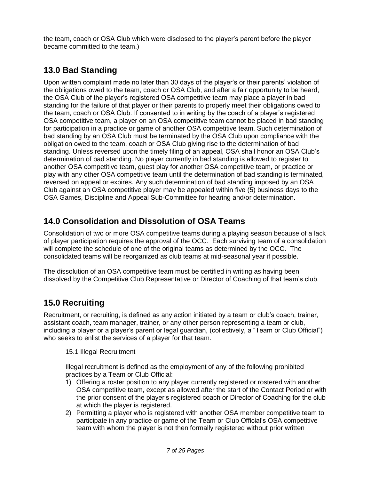the team, coach or OSA Club which were disclosed to the player's parent before the player became committed to the team.)

# **13.0 Bad Standing**

Upon written complaint made no later than 30 days of the player's or their parents' violation of the obligations owed to the team, coach or OSA Club, and after a fair opportunity to be heard, the OSA Club of the player's registered OSA competitive team may place a player in bad standing for the failure of that player or their parents to properly meet their obligations owed to the team, coach or OSA Club. If consented to in writing by the coach of a player's registered OSA competitive team, a player on an OSA competitive team cannot be placed in bad standing for participation in a practice or game of another OSA competitive team. Such determination of bad standing by an OSA Club must be terminated by the OSA Club upon compliance with the obligation owed to the team, coach or OSA Club giving rise to the determination of bad standing. Unless reversed upon the timely filing of an appeal, OSA shall honor an OSA Club's determination of bad standing. No player currently in bad standing is allowed to register to another OSA competitive team, guest play for another OSA competitive team, or practice or play with any other OSA competitive team until the determination of bad standing is terminated, reversed on appeal or expires. Any such determination of bad standing imposed by an OSA Club against an OSA competitive player may be appealed within five (5) business days to the OSA Games, Discipline and Appeal Sub-Committee for hearing and/or determination.

# <span id="page-6-0"></span>**14.0 Consolidation and Dissolution of OSA Teams**

Consolidation of two or more OSA competitive teams during a playing season because of a lack of player participation requires the approval of the OCC. Each surviving team of a consolidation will complete the schedule of one of the original teams as determined by the OCC. The consolidated teams will be reorganized as club teams at mid-seasonal year if possible.

The dissolution of an OSA competitive team must be certified in writing as having been dissolved by the Competitive Club Representative or Director of Coaching of that team's club.

# <span id="page-6-1"></span>**15.0 Recruiting**

Recruitment, or recruiting, is defined as any action initiated by a team or club's coach, trainer, assistant coach, team manager, trainer, or any other person representing a team or club, including a player or a player's parent or legal guardian, (collectively, a "Team or Club Official") who seeks to enlist the services of a player for that team.

#### <span id="page-6-2"></span>15.1 Illegal Recruitment

Illegal recruitment is defined as the employment of any of the following prohibited practices by a Team or Club Official:

- 1) Offering a roster position to any player currently registered or rostered with another OSA competitive team, except as allowed after the start of the Contact Period or with the prior consent of the player's registered coach or Director of Coaching for the club at which the player is registered.
- 2) Permitting a player who is registered with another OSA member competitive team to participate in any practice or game of the Team or Club Official's OSA competitive team with whom the player is not then formally registered without prior written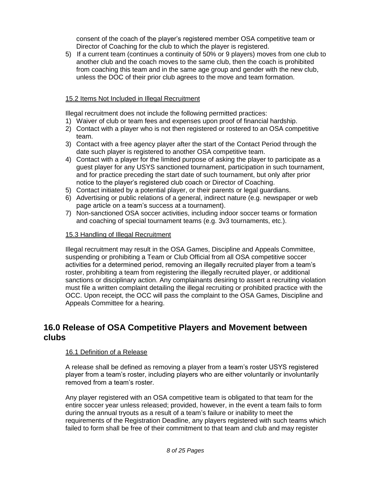consent of the coach of the player's registered member OSA competitive team or Director of Coaching for the club to which the player is registered.

5) If a current team (continues a continuity of 50% or 9 players) moves from one club to another club and the coach moves to the same club, then the coach is prohibited from coaching this team and in the same age group and gender with the new club, unless the DOC of their prior club agrees to the move and team formation.

#### <span id="page-7-0"></span>15.2 Items Not Included in Illegal Recruitment

Illegal recruitment does not include the following permitted practices:

- 1) Waiver of club or team fees and expenses upon proof of financial hardship.
- 2) Contact with a player who is not then registered or rostered to an OSA competitive team.
- 3) Contact with a free agency player after the start of the Contact Period through the date such player is registered to another OSA competitive team.
- 4) Contact with a player for the limited purpose of asking the player to participate as a guest player for any USYS sanctioned tournament, participation in such tournament, and for practice preceding the start date of such tournament, but only after prior notice to the player's registered club coach or Director of Coaching.
- 5) Contact initiated by a potential player, or their parents or legal guardians.
- 6) Advertising or public relations of a general, indirect nature (e.g. newspaper or web page article on a team's success at a tournament).
- 7) Non-sanctioned OSA soccer activities, including indoor soccer teams or formation and coaching of special tournament teams (e.g. 3v3 tournaments, etc.).

#### <span id="page-7-1"></span>15.3 Handling of Illegal Recruitment

Illegal recruitment may result in the OSA Games, Discipline and Appeals Committee, suspending or prohibiting a Team or Club Official from all OSA competitive soccer activities for a determined period, removing an illegally recruited player from a team's roster, prohibiting a team from registering the illegally recruited player, or additional sanctions or disciplinary action. Any complainants desiring to assert a recruiting violation must file a written complaint detailing the illegal recruiting or prohibited practice with the OCC. Upon receipt, the OCC will pass the complaint to the OSA Games, Discipline and Appeals Committee for a hearing.

### <span id="page-7-3"></span><span id="page-7-2"></span>**16.0 Release of OSA Competitive Players and Movement between clubs**

#### 16.1 Definition of a Release

A release shall be defined as removing a player from a team's roster USYS registered player from a team's roster, including players who are either voluntarily or involuntarily removed from a team's roster.

Any player registered with an OSA competitive team is obligated to that team for the entire soccer year unless released; provided, however, in the event a team fails to form during the annual tryouts as a result of a team's failure or inability to meet the requirements of the Registration Deadline, any players registered with such teams which failed to form shall be free of their commitment to that team and club and may register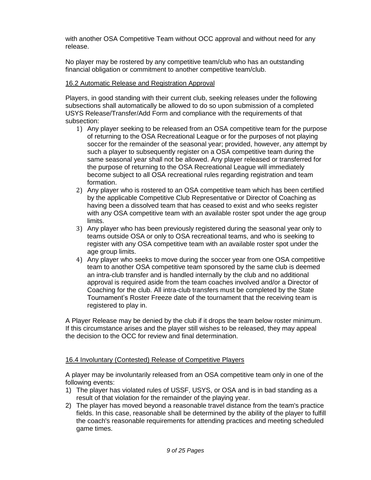with another OSA Competitive Team without OCC approval and without need for any release.

No player may be rostered by any competitive team/club who has an outstanding financial obligation or commitment to another competitive team/club.

#### <span id="page-8-0"></span>16.2 Automatic Release and Registration Approval

Players, in good standing with their current club, seeking releases under the following subsections shall automatically be allowed to do so upon submission of a completed USYS Release/Transfer/Add Form and compliance with the requirements of that subsection:

- 1) Any player seeking to be released from an OSA competitive team for the purpose of returning to the OSA Recreational League or for the purposes of not playing soccer for the remainder of the seasonal year; provided, however, any attempt by such a player to subsequently register on a OSA competitive team during the same seasonal year shall not be allowed. Any player released or transferred for the purpose of returning to the OSA Recreational League will immediately become subject to all OSA recreational rules regarding registration and team formation.
- 2) Any player who is rostered to an OSA competitive team which has been certified by the applicable Competitive Club Representative or Director of Coaching as having been a dissolved team that has ceased to exist and who seeks register with any OSA competitive team with an available roster spot under the age group limits.
- 3) Any player who has been previously registered during the seasonal year only to teams outside OSA or only to OSA recreational teams, and who is seeking to register with any OSA competitive team with an available roster spot under the age group limits.
- 4) Any player who seeks to move during the soccer year from one OSA competitive team to another OSA competitive team sponsored by the same club is deemed an intra-club transfer and is handled internally by the club and no additional approval is required aside from the team coaches involved and/or a Director of Coaching for the club. All intra-club transfers must be completed by the State Tournament's Roster Freeze date of the tournament that the receiving team is registered to play in.

A Player Release may be denied by the club if it drops the team below roster minimum. If this circumstance arises and the player still wishes to be released, they may appeal the decision to the OCC for review and final determination.

#### 16.4 Involuntary (Contested) Release of Competitive Players

A player may be involuntarily released from an OSA competitive team only in one of the following events:

- 1) The player has violated rules of USSF, USYS, or OSA and is in bad standing as a result of that violation for the remainder of the playing year.
- 2) The player has moved beyond a reasonable travel distance from the team's practice fields. In this case, reasonable shall be determined by the ability of the player to fulfill the coach's reasonable requirements for attending practices and meeting scheduled game times.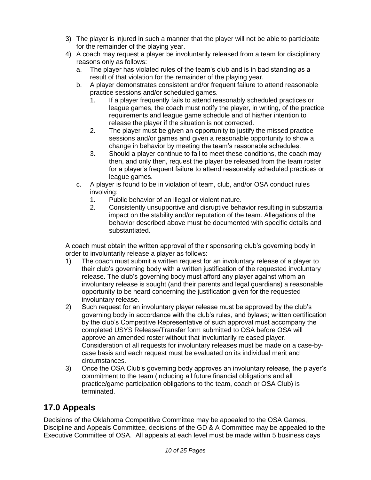- 3) The player is injured in such a manner that the player will not be able to participate for the remainder of the playing year.
- 4) A coach may request a player be involuntarily released from a team for disciplinary reasons only as follows:
	- a. The player has violated rules of the team's club and is in bad standing as a result of that violation for the remainder of the playing year.
	- b. A player demonstrates consistent and/or frequent failure to attend reasonable practice sessions and/or scheduled games.
		- 1. If a player frequently fails to attend reasonably scheduled practices or league games, the coach must notify the player, in writing, of the practice requirements and league game schedule and of his/her intention to release the player if the situation is not corrected.
		- 2. The player must be given an opportunity to justify the missed practice sessions and/or games and given a reasonable opportunity to show a change in behavior by meeting the team's reasonable schedules.
		- 3. Should a player continue to fail to meet these conditions, the coach may then, and only then, request the player be released from the team roster for a player's frequent failure to attend reasonably scheduled practices or league games.
	- c. A player is found to be in violation of team, club, and/or OSA conduct rules involving:
		- 1. Public behavior of an illegal or violent nature.
		- 2. Consistently unsupportive and disruptive behavior resulting in substantial impact on the stability and/or reputation of the team. Allegations of the behavior described above must be documented with specific details and substantiated.

A coach must obtain the written approval of their sponsoring club's governing body in order to involuntarily release a player as follows:

- 1) The coach must submit a written request for an involuntary release of a player to their club's governing body with a written justification of the requested involuntary release. The club's governing body must afford any player against whom an involuntary release is sought (and their parents and legal guardians) a reasonable opportunity to be heard concerning the justification given for the requested involuntary release.
- 2) Such request for an involuntary player release must be approved by the club's governing body in accordance with the club's rules, and bylaws; written certification by the club's Competitive Representative of such approval must accompany the completed USYS Release/Transfer form submitted to OSA before OSA will approve an amended roster without that involuntarily released player. Consideration of all requests for involuntary releases must be made on a case-bycase basis and each request must be evaluated on its individual merit and circumstances.
- 3) Once the OSA Club's governing body approves an involuntary release, the player's commitment to the team (including all future financial obligations and all practice/game participation obligations to the team, coach or OSA Club) is terminated.

# <span id="page-9-0"></span>**17.0 Appeals**

Decisions of the Oklahoma Competitive Committee may be appealed to the OSA Games, Discipline and Appeals Committee, decisions of the GD & A Committee may be appealed to the Executive Committee of OSA. All appeals at each level must be made within 5 business days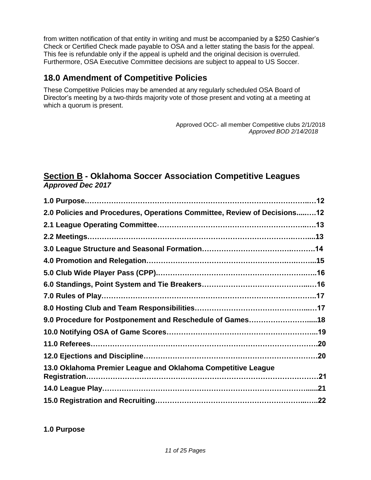from written notification of that entity in writing and must be accompanied by a \$250 Cashier's Check or Certified Check made payable to OSA and a letter stating the basis for the appeal. This fee is refundable only if the appeal is upheld and the original decision is overruled. Furthermore, OSA Executive Committee decisions are subject to appeal to US Soccer.

### <span id="page-10-0"></span>**18.0 Amendment of Competitive Policies**

These Competitive Policies may be amended at any regularly scheduled OSA Board of Director's meeting by a two-thirds majority vote of those present and voting at a meeting at which a quorum is present.

> Approved OCC- all member Competitive clubs 2/1/2018 *Approved BOD 2/14/2018*

### <span id="page-10-1"></span>**Section B - Oklahoma Soccer Association Competitive Leagues**  *Approved Dec 2017*

| 2.0 Policies and Procedures, Operations Committee, Review of Decisions12 |  |
|--------------------------------------------------------------------------|--|
|                                                                          |  |
|                                                                          |  |
|                                                                          |  |
|                                                                          |  |
|                                                                          |  |
|                                                                          |  |
|                                                                          |  |
|                                                                          |  |
| 9.0 Procedure for Postponement and Reschedule of Games18                 |  |
|                                                                          |  |
|                                                                          |  |
|                                                                          |  |
| 13.0 Oklahoma Premier League and Oklahoma Competitive League             |  |
|                                                                          |  |
|                                                                          |  |
|                                                                          |  |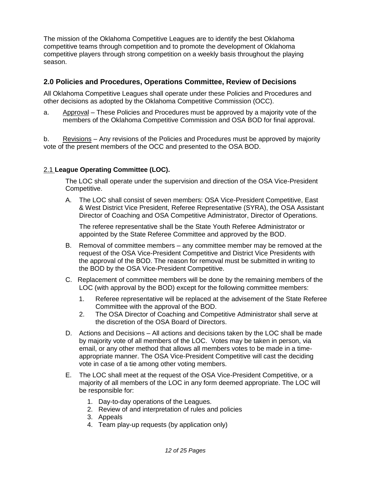The mission of the Oklahoma Competitive Leagues are to identify the best Oklahoma competitive teams through competition and to promote the development of Oklahoma competitive players through strong competition on a weekly basis throughout the playing season.

#### **2.0 Policies and Procedures, Operations Committee, Review of Decisions**

All Oklahoma Competitive Leagues shall operate under these Policies and Procedures and other decisions as adopted by the Oklahoma Competitive Commission (OCC).

a. Approval – These Policies and Procedures must be approved by a majority vote of the members of the Oklahoma Competitive Commission and OSA BOD for final approval.

b. Revisions – Any revisions of the Policies and Procedures must be approved by majority vote of the present members of the OCC and presented to the OSA BOD.

#### 2.1 **League Operating Committee (LOC).**

The LOC shall operate under the supervision and direction of the OSA Vice-President Competitive.

A. The LOC shall consist of seven members: OSA Vice-President Competitive, East & West District Vice President, Referee Representative (SYRA), the OSA Assistant Director of Coaching and OSA Competitive Administrator, Director of Operations.

The referee representative shall be the State Youth Referee Administrator or appointed by the State Referee Committee and approved by the BOD.

- B. Removal of committee members any committee member may be removed at the request of the OSA Vice-President Competitive and District Vice Presidents with the approval of the BOD. The reason for removal must be submitted in writing to the BOD by the OSA Vice-President Competitive.
- C. Replacement of committee members will be done by the remaining members of the LOC (with approval by the BOD) except for the following committee members:
	- 1. Referee representative will be replaced at the advisement of the State Referee Committee with the approval of the BOD.
	- 2. The OSA Director of Coaching and Competitive Administrator shall serve at the discretion of the OSA Board of Directors.
- D. Actions and Decisions All actions and decisions taken by the LOC shall be made by majority vote of all members of the LOC. Votes may be taken in person, via email, or any other method that allows all members votes to be made in a timeappropriate manner. The OSA Vice-President Competitive will cast the deciding vote in case of a tie among other voting members.
- E. The LOC shall meet at the request of the OSA Vice-President Competitive, or a majority of all members of the LOC in any form deemed appropriate. The LOC will be responsible for:
	- 1. Day-to-day operations of the Leagues.
	- 2. Review of and interpretation of rules and policies
	- 3. Appeals
	- 4. Team play-up requests (by application only)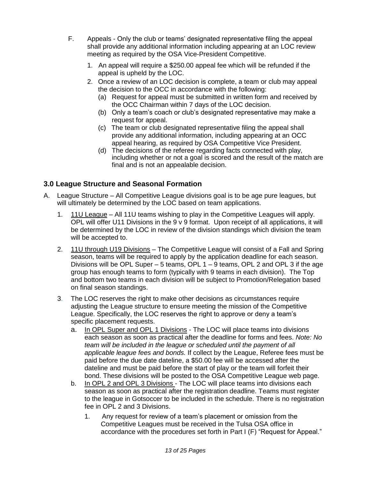- F. Appeals Only the club or teams' designated representative filing the appeal shall provide any additional information including appearing at an LOC review meeting as required by the OSA Vice-President Competitive.
	- 1. An appeal will require a \$250.00 appeal fee which will be refunded if the appeal is upheld by the LOC.
	- 2. Once a review of an LOC decision is complete, a team or club may appeal the decision to the OCC in accordance with the following:
		- (a) Request for appeal must be submitted in written form and received by the OCC Chairman within 7 days of the LOC decision.
		- (b) Only a team's coach or club's designated representative may make a request for appeal.
		- (c) The team or club designated representative filing the appeal shall provide any additional information, including appearing at an OCC appeal hearing, as required by OSA Competitive Vice President.
		- (d) The decisions of the referee regarding facts connected with play, including whether or not a goal is scored and the result of the match are final and is not an appealable decision.

### **3.0 League Structure and Seasonal Formation**

- A. League Structure All Competitive League divisions goal is to be age pure leagues, but will ultimately be determined by the LOC based on team applications.
	- 1. 11U League All 11U teams wishing to play in the Competitive Leagues will apply. OPL will offer U11 Divisions in the 9 v 9 format. Upon receipt of all applications, it will be determined by the LOC in review of the division standings which division the team will be accepted to.
	- 2. 11U through U19 Divisions The Competitive League will consist of a Fall and Spring season, teams will be required to apply by the application deadline for each season. Divisions will be OPL Super  $-5$  teams, OPL 1  $-9$  teams, OPL 2 and OPL 3 if the age group has enough teams to form (typically with 9 teams in each division). The Top and bottom two teams in each division will be subject to Promotion/Relegation based on final season standings.
	- 3. The LOC reserves the right to make other decisions as circumstances require adjusting the League structure to ensure meeting the mission of the Competitive League. Specifically, the LOC reserves the right to approve or deny a team's specific placement requests.
		- a. In OPL Super and OPL 1 Divisions The LOC will place teams into divisions each season as soon as practical after the deadline for forms and fees. *Note: No team will be included in the league or scheduled until the payment of all applicable league fees and bonds.* If collect by the League, Referee fees must be paid before the due date dateline, a \$50.00 fee will be accessed after the dateline and must be paid before the start of play or the team will forfeit their bond. These divisions will be posted to the OSA Competitive League web page.
		- b. In OPL 2 and OPL 3 Divisions The LOC will place teams into divisions each season as soon as practical after the registration deadline. Teams must register to the league in Gotsoccer to be included in the schedule. There is no registration fee in OPL 2 and 3 Divisions.
			- 1. Any request for review of a team's placement or omission from the Competitive Leagues must be received in the Tulsa OSA office in accordance with the procedures set forth in Part I (F) "Request for Appeal."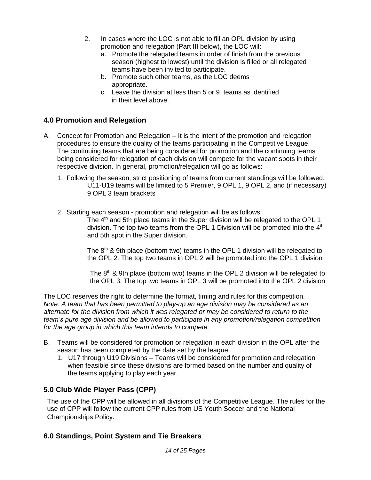- 2. In cases where the LOC is not able to fill an OPL division by using promotion and relegation (Part III below), the LOC will:
	- a. Promote the relegated teams in order of finish from the previous season (highest to lowest) until the division is filled or all relegated teams have been invited to participate.
	- b. Promote such other teams, as the LOC deems appropriate.
	- c. Leave the division at less than 5 or 9 teams as identified in their level above.

#### **4.0 Promotion and Relegation**

- A. Concept for Promotion and Relegation It is the intent of the promotion and relegation procedures to ensure the quality of the teams participating in the Competitive League. The continuing teams that are being considered for promotion and the continuing teams being considered for relegation of each division will compete for the vacant spots in their respective division. In general, promotion/relegation will go as follows:
	- 1. Following the season, strict positioning of teams from current standings will be followed: U11-U19 teams will be limited to 5 Premier, 9 OPL 1, 9 OPL 2, and (if necessary) 9 OPL 3 team brackets
	- 2. Starting each season promotion and relegation will be as follows: The 4<sup>th</sup> and 5th place teams in the Super division will be relegated to the OPL 1 division. The top two teams from the OPL 1 Division will be promoted into the 4<sup>th</sup> and 5th spot in the Super division.

The  $8<sup>th</sup>$  & 9th place (bottom two) teams in the OPL 1 division will be relegated to the OPL 2. The top two teams in OPL 2 will be promoted into the OPL 1 division

The  $8<sup>th</sup>$  & 9th place (bottom two) teams in the OPL 2 division will be relegated to the OPL 3. The top two teams in OPL 3 will be promoted into the OPL 2 division

The LOC reserves the right to determine the format, timing and rules for this competition. *Note: A team that has been permitted to play-up an age division may be considered as an alternate for the division from which it was relegated or may be considered to return to the team's pure age division and be allowed to participate in any promotion/relegation competition for the age group in which this team intends to compete.*

- B. Teams will be considered for promotion or relegation in each division in the OPL after the season has been completed by the date set by the league
	- 1. U17 through U19 Divisions Teams will be considered for promotion and relegation when feasible since these divisions are formed based on the number and quality of the teams applying to play each year.

#### **5.0 Club Wide Player Pass (CPP)**

The use of the CPP will be allowed in all divisions of the Competitive League. The rules for the use of CPP will follow the current CPP rules from US Youth Soccer and the National Championships Policy.

### **6.0 Standings, Point System and Tie Breakers**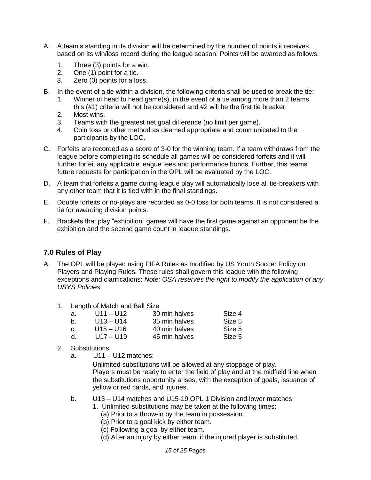- A. A team's standing in its division will be determined by the number of points it receives based on its win/loss record during the league season. Points will be awarded as follows:
	- 1. Three (3) points for a win.
	- 2. One (1) point for a tie.
	- 3. Zero (0) points for a loss.
- B. In the event of a tie within a division, the following criteria shall be used to break the tie:
	- 1. Winner of head to head game(s), in the event of a tie among more than 2 teams, this (#1) criteria will not be considered and #2 will be the first tie breaker.
	- 2. Most wins.
	- 3. Teams with the greatest net goal difference (no limit per game).
	- 4. Coin toss or other method as deemed appropriate and communicated to the participants by the LOC.
- C. Forfeits are recorded as a score of 3-0 for the winning team. If a team withdraws from the league before completing its schedule all games will be considered forfeits and it will further forfeit any applicable league fees and performance bonds. Further, this teams' future requests for participation in the OPL will be evaluated by the LOC.
- D. A team that forfeits a game during league play will automatically lose all tie-breakers with any other team that it is tied with in the final standings.
- E. Double forfeits or no-plays are recorded as 0-0 loss for both teams. It is not considered a tie for awarding division points.
- F. Brackets that play "exhibition" games will have the first game against an opponent be the exhibition and the second game count in league standings.

#### **7.0 Rules of Play**

- A. The OPL will be played using FIFA Rules as modified by US Youth Soccer Policy on Players and Playing Rules. These rules shall govern this league with the following exceptions and clarifications: *Note: OSA reserves the right to modify the application of any USYS Policies*.
	- 1. Length of Match and Ball Size

| а. | U11 – U12   | 30 min halves | Size 4 |
|----|-------------|---------------|--------|
| b. | $U13 - U14$ | 35 min halves | Size 5 |
| C. | $U15 - U16$ | 40 min halves | Size 5 |
| d. | $U17 - U19$ | 45 min halves | Size 5 |

- 2. Substitutions
	- a. U11 U12 matches:

Unlimited substitutions will be allowed at any stoppage of play. Players must be ready to enter the field of play and at the midfield line when the substitutions opportunity arises, with the exception of goals, issuance of yellow or red cards, and injuries.

- b. U13 U14 matches and U15-19 OPL 1 Division and lower matches:
	- 1. Unlimited substitutions may be taken at the following times:
		- (a) Prior to a throw-in by the team in possession.
		- (b) Prior to a goal kick by either team.
		- (c) Following a goal by either team.
		- (d) After an injury by either team, if the injured player is substituted.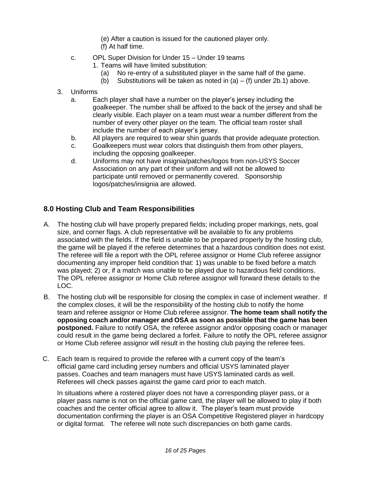(e) After a caution is issued for the cautioned player only. (f) At half time.

- c. OPL Super Division for Under 15 Under 19 teams
	- 1. Teams will have limited substitution:
		- (a) No re-entry of a substituted player in the same half of the game.
		- (b) Substitutions will be taken as noted in  $(a) (f)$  under 2b.1) above.
- 3. Uniforms
	- a. Each player shall have a number on the player's jersey including the goalkeeper. The number shall be affixed to the back of the jersey and shall be clearly visible. Each player on a team must wear a number different from the number of every other player on the team. The official team roster shall include the number of each player's jersey.
	- b. All players are required to wear shin guards that provide adequate protection.
	- c. Goalkeepers must wear colors that distinguish them from other players, including the opposing goalkeeper.
	- d. Uniforms may not have insignia/patches/logos from non-USYS Soccer Association on any part of their uniform and will not be allowed to participate until removed or permanently covered. Sponsorship logos/patches/insignia are allowed.

### **8.0 Hosting Club and Team Responsibilities**

- A. The hosting club will have properly prepared fields; including proper markings, nets, goal size, and corner flags. A club representative will be available to fix any problems associated with the fields. If the field is unable to be prepared properly by the hosting club, the game will be played if the referee determines that a hazardous condition does not exist. The referee will file a report with the OPL referee assignor or Home Club referee assignor documenting any improper field condition that: 1) was unable to be fixed before a match was played; 2) or, if a match was unable to be played due to hazardous field conditions. The OPL referee assignor or Home Club referee assignor will forward these details to the LOC.
- B. The hosting club will be responsible for closing the complex in case of inclement weather. If the complex closes, it will be the responsibility of the hosting club to notify the home team and referee assignor or Home Club referee assignor. **The home team shall notify the opposing coach and/or manager and OSA as soon as possible that the game has been postponed.** Failure to notify OSA, the referee assignor and/or opposing coach or manager could result in the game being declared a forfeit. Failure to notify the OPL referee assignor or Home Club referee assignor will result in the hosting club paying the referee fees.
- C. Each team is required to provide the referee with a current copy of the team's official game card including jersey numbers and official USYS laminated player passes. Coaches and team managers must have USYS laminated cards as well. Referees will check passes against the game card prior to each match.

In situations where a rostered player does not have a corresponding player pass, or a player pass name is not on the official game card, the player will be allowed to play if both coaches and the center official agree to allow it. The player's team must provide documentation confirming the player is an OSA Competitive Registered player in hardcopy or digital format. The referee will note such discrepancies on both game cards.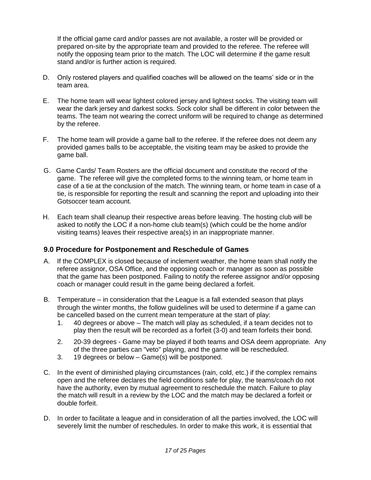If the official game card and/or passes are not available, a roster will be provided or prepared on-site by the appropriate team and provided to the referee. The referee will notify the opposing team prior to the match. The LOC will determine if the game result stand and/or is further action is required.

- D. Only rostered players and qualified coaches will be allowed on the teams' side or in the team area.
- E. The home team will wear lightest colored jersey and lightest socks. The visiting team will wear the dark jersey and darkest socks. Sock color shall be different in color between the teams. The team not wearing the correct uniform will be required to change as determined by the referee.
- F. The home team will provide a game ball to the referee. If the referee does not deem any provided games balls to be acceptable, the visiting team may be asked to provide the game ball.
- G. Game Cards/ Team Rosters are the official document and constitute the record of the game. The referee will give the completed forms to the winning team, or home team in case of a tie at the conclusion of the match. The winning team, or home team in case of a tie, is responsible for reporting the result and scanning the report and uploading into their Gotsoccer team account.
- H. Each team shall cleanup their respective areas before leaving. The hosting club will be asked to notify the LOC if a non-home club team(s) (which could be the home and/or visiting teams) leaves their respective area(s) in an inappropriate manner.

#### **9.0 Procedure for Postponement and Reschedule of Games**

- A. If the COMPLEX is closed because of inclement weather, the home team shall notify the referee assignor, OSA Office, and the opposing coach or manager as soon as possible that the game has been postponed. Failing to notify the referee assignor and/or opposing coach or manager could result in the game being declared a forfeit.
- B. Temperature in consideration that the League is a fall extended season that plays through the winter months, the follow guidelines will be used to determine if a game can be cancelled based on the current mean temperature at the start of play:
	- 1. 40 degrees or above The match will play as scheduled, if a team decides not to play then the result will be recorded as a forfeit (3-0) and team forfeits their bond.
	- 2. 20-39 degrees Game may be played if both teams and OSA deem appropriate. Any of the three parties can "veto" playing, and the game will be rescheduled.
	- 3. 19 degrees or below Game(s) will be postponed.
- C. In the event of diminished playing circumstances (rain, cold, etc.) if the complex remains open and the referee declares the field conditions safe for play, the teams/coach do not have the authority, even by mutual agreement to reschedule the match. Failure to play the match will result in a review by the LOC and the match may be declared a forfeit or double forfeit.
- D. In order to facilitate a league and in consideration of all the parties involved, the LOC will severely limit the number of reschedules. In order to make this work, it is essential that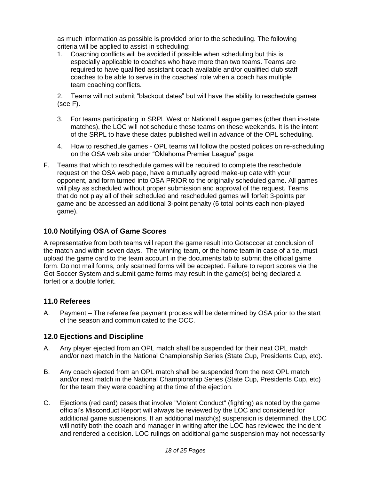as much information as possible is provided prior to the scheduling. The following criteria will be applied to assist in scheduling:

1. Coaching conflicts will be avoided if possible when scheduling but this is especially applicable to coaches who have more than two teams. Teams are required to have qualified assistant coach available and/or qualified club staff coaches to be able to serve in the coaches' role when a coach has multiple team coaching conflicts.

2. Teams will not submit "blackout dates" but will have the ability to reschedule games (see F).

- 3. For teams participating in SRPL West or National League games (other than in-state matches), the LOC will not schedule these teams on these weekends. It is the intent of the SRPL to have these dates published well in advance of the OPL scheduling.
- 4. How to reschedule games OPL teams will follow the posted polices on re-scheduling on the OSA web site under "Oklahoma Premier League" page.
- F. Teams that which to reschedule games will be required to complete the reschedule request on the OSA web page, have a mutually agreed make-up date with your opponent, and form turned into OSA PRIOR to the originally scheduled game. All games will play as scheduled without proper submission and approval of the request. Teams that do not play all of their scheduled and rescheduled games will forfeit 3-points per game and be accessed an additional 3-point penalty (6 total points each non-played game).

#### **10.0 Notifying OSA of Game Scores**

A representative from both teams will report the game result into Gotsoccer at conclusion of the match and within seven days. The winning team, or the home team in case of a tie, must upload the game card to the team account in the documents tab to submit the official game form. Do not mail forms, only scanned forms will be accepted. Failure to report scores via the Got Soccer System and submit game forms may result in the game(s) being declared a forfeit or a double forfeit.

#### **11.0 Referees**

A. Payment – The referee fee payment process will be determined by OSA prior to the start of the season and communicated to the OCC.

#### **12.0 Ejections and Discipline**

- A. Any player ejected from an OPL match shall be suspended for their next OPL match and/or next match in the National Championship Series (State Cup, Presidents Cup, etc).
- B. Any coach ejected from an OPL match shall be suspended from the next OPL match and/or next match in the National Championship Series (State Cup, Presidents Cup, etc) for the team they were coaching at the time of the ejection.
- C. Ejections (red card) cases that involve "Violent Conduct" (fighting) as noted by the game official's Misconduct Report will always be reviewed by the LOC and considered for additional game suspensions. If an additional match(s) suspension is determined, the LOC will notify both the coach and manager in writing after the LOC has reviewed the incident and rendered a decision. LOC rulings on additional game suspension may not necessarily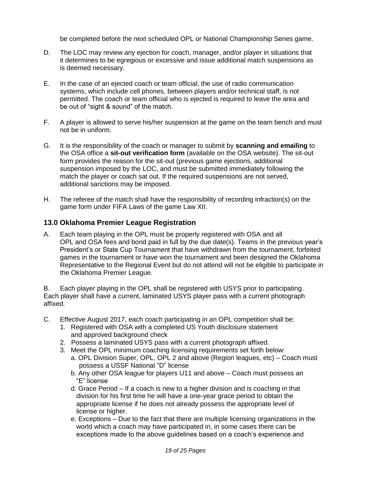be completed before the next scheduled OPL or National Championship Series game.

- D. The LOC may review any ejection for coach, manager, and/or player in situations that it determines to be egregious or excessive and issue additional match suspensions as is deemed necessary.
- E. In the case of an ejected coach or team official, the use of radio communication systems, which include cell phones, between players and/or technical staff, is not permitted. The coach or team official who is ejected is required to leave the area and be out of "sight & sound" of the match.
- F. A player is allowed to serve his/her suspension at the game on the team bench and must not be in uniform.
- G. It is the responsibility of the coach or manager to submit by **scanning and emailing** to the OSA office a **sit-out verification form** (available on the OSA website). The sit-out form provides the reason for the sit-out (previous game ejections, additional suspension imposed by the LOC, and must be submitted immediately following the match the player or coach sat out. If the required suspensions are not served, additional sanctions may be imposed.
- H. The referee of the match shall have the responsibility of recording infraction(s) on the game form under FIFA Laws of the game Law XII.

#### **13.0 Oklahoma Premier League Registration**

A. Each team playing in the OPL must be properly registered with OSA and all OPL and OSA fees and bond paid in full by the due date(s). Teams in the previous year's President's or State Cup Tournament that have withdrawn from the tournament, forfeited games in the tournament or have won the tournament and been designed the Oklahoma Representative to the Regional Event but do not attend will not be eligible to participate in the Oklahoma Premier League.

B. Each player playing in the OPL shall be registered with USYS prior to participating. Each player shall have a current, laminated USYS player pass with a current photograph affixed.

- C. Effective August 2017, each coach participating in an OPL competition shall be:
	- 1. Registered with OSA with a completed US Youth disclosure statement and approved background check
	- 2. Possess a laminated USYS pass with a current photograph affixed.
	- 3. Meet the OPL minimum coaching licensing requirements set forth below: a. OPL Division Super, OPL, OPL 2 and above (Region leagues, etc) – Coach must possess a USSF National "D" license
		- b. Any other OSA league for players U11 and above Coach must possess an "E" license
		- d. Grace Period If a coach is new to a higher division and is coaching in that division for his first time he will have a one-year grace period to obtain the appropriate license if he does not already possess the appropriate level of license or higher.
		- e. Exceptions Due to the fact that there are multiple licensing organizations in the world which a coach may have participated in, in some cases there can be exceptions made to the above guidelines based on a coach's experience and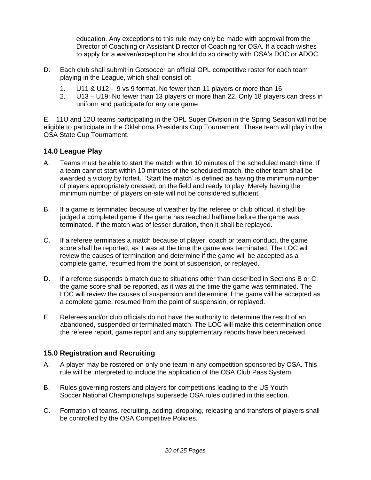education. Any exceptions to this rule may only be made with approval from the Director of Coaching or Assistant Director of Coaching for OSA. If a coach wishes to apply for a waiver/exception he should do so directly with OSA's DOC or ADOC.

- D. Each club shall submit in Gotsoccer an official OPL competitive roster for each team playing in the League, which shall consist of:
	- 1. U11 & U12 9 vs 9 format, No fewer than 11 players or more than 16
	- 2. U13 U19: No fewer than 13 players or more than 22. Only 18 players can dress in uniform and participate for any one game

E. 11U and 12U teams participating in the OPL Super Division in the Spring Season will not be eligible to participate in the Oklahoma Presidents Cup Tournament. These team will play in the OSA State Cup Tournament.

#### **14.0 League Play**

- A. Teams must be able to start the match within 10 minutes of the scheduled match time. If a team cannot start within 10 minutes of the scheduled match, the other team shall be awarded a victory by forfeit. 'Start the match' is defined as having the minimum number of players appropriately dressed, on the field and ready to play. Merely having the minimum number of players on-site will not be considered sufficient.
- B. If a game is terminated because of weather by the referee or club official, it shall be judged a completed game if the game has reached halftime before the game was terminated. If the match was of lesser duration, then it shall be replayed.
- C. If a referee terminates a match because of player, coach or team conduct, the game score shall be reported, as it was at the time the game was terminated. The LOC will review the causes of termination and determine if the game will be accepted as a complete game, resumed from the point of suspension, or replayed.
- D. If a referee suspends a match due to situations other than described in Sections B or C, the game score shall be reported, as it was at the time the game was terminated. The LOC will review the causes of suspension and determine if the game will be accepted as a complete game, resumed from the point of suspension, or replayed.
- E. Referees and/or club officials do not have the authority to determine the result of an abandoned, suspended or terminated match. The LOC will make this determination once the referee report, game report and any supplementary reports have been received.

#### **15.0 Registration and Recruiting**

- A. A player may be rostered on only one team in any competition sponsored by OSA. This rule will be interpreted to include the application of the OSA Club Pass System.
- B. Rules governing rosters and players for competitions leading to the US Youth Soccer National Championships supersede OSA rules outlined in this section.
- C. Formation of teams, recruiting, adding, dropping, releasing and transfers of players shall be controlled by the OSA Competitive Policies.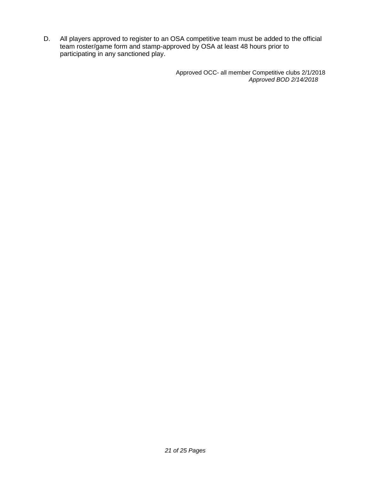D. All players approved to register to an OSA competitive team must be added to the official team roster/game form and stamp-approved by OSA at least 48 hours prior to participating in any sanctioned play.

> Approved OCC- all member Competitive clubs 2/1/2018 *Approved BOD 2/14/2018*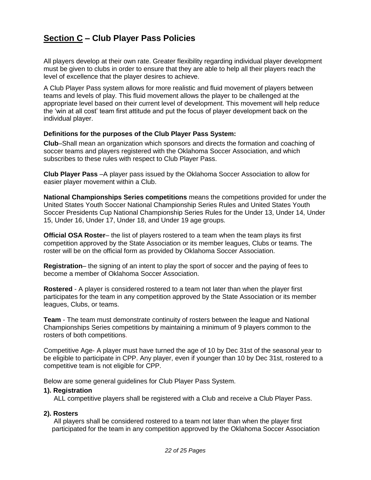# **Section C – Club Player Pass Policies**

All players develop at their own rate. Greater flexibility regarding individual player development must be given to clubs in order to ensure that they are able to help all their players reach the level of excellence that the player desires to achieve.

A Club Player Pass system allows for more realistic and fluid movement of players between teams and levels of play. This fluid movement allows the player to be challenged at the appropriate level based on their current level of development. This movement will help reduce the 'win at all cost' team first attitude and put the focus of player development back on the individual player.

#### **Definitions for the purposes of the Club Player Pass System:**

**Club**–Shall mean an organization which sponsors and directs the formation and coaching of soccer teams and players registered with the Oklahoma Soccer Association, and which subscribes to these rules with respect to Club Player Pass.

**Club Player Pass** –A player pass issued by the Oklahoma Soccer Association to allow for easier player movement within a Club.

**National Championships Series competitions** means the competitions provided for under the United States Youth Soccer National Championship Series Rules and United States Youth Soccer Presidents Cup National Championship Series Rules for the Under 13, Under 14, Under 15, Under 16, Under 17, Under 18, and Under 19 age groups.

**Official OSA Roster**– the list of players rostered to a team when the team plays its first competition approved by the State Association or its member leagues, Clubs or teams. The roster will be on the official form as provided by Oklahoma Soccer Association.

**Registration**– the signing of an intent to play the sport of soccer and the paying of fees to become a member of Oklahoma Soccer Association.

**Rostered** - A player is considered rostered to a team not later than when the player first participates for the team in any competition approved by the State Association or its member leagues, Clubs, or teams.

**Team** - The team must demonstrate continuity of rosters between the league and National Championships Series competitions by maintaining a minimum of 9 players common to the rosters of both competitions.

Competitive Age- A player must have turned the age of 10 by Dec 31st of the seasonal year to be eligible to participate in CPP. Any player, even if younger than 10 by Dec 31st, rostered to a competitive team is not eligible for CPP.

Below are some general guidelines for Club Player Pass System.

#### **1). Registration**

ALL competitive players shall be registered with a Club and receive a Club Player Pass.

#### **2). Rosters**

All players shall be considered rostered to a team not later than when the player first participated for the team in any competition approved by the Oklahoma Soccer Association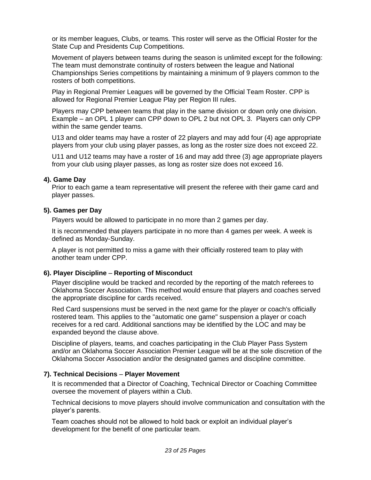or its member leagues, Clubs, or teams. This roster will serve as the Official Roster for the State Cup and Presidents Cup Competitions.

Movement of players between teams during the season is unlimited except for the following: The team must demonstrate continuity of rosters between the league and National Championships Series competitions by maintaining a minimum of 9 players common to the rosters of both competitions.

Play in Regional Premier Leagues will be governed by the Official Team Roster. CPP is allowed for Regional Premier League Play per Region III rules.

Players may CPP between teams that play in the same division or down only one division. Example – an OPL 1 player can CPP down to OPL 2 but not OPL 3.Players can only CPP within the same gender teams.

U13 and older teams may have a roster of 22 players and may add four (4) age appropriate players from your club using player passes, as long as the roster size does not exceed 22.

U11 and U12 teams may have a roster of 16 and may add three (3) age appropriate players from your club using player passes, as long as roster size does not exceed 16.

#### **4). Game Day**

Prior to each game a team representative will present the referee with their game card and player passes.

#### **5). Games per Day**

Players would be allowed to participate in no more than 2 games per day.

It is recommended that players participate in no more than 4 games per week. A week is defined as Monday-Sunday.

A player is not permitted to miss a game with their officially rostered team to play with another team under CPP.

#### **6). Player Discipline** – **Reporting of Misconduct**

Player discipline would be tracked and recorded by the reporting of the match referees to Oklahoma Soccer Association. This method would ensure that players and coaches served the appropriate discipline for cards received.

Red Card suspensions must be served in the next game for the player or coach's officially rostered team. This applies to the "automatic one game" suspension a player or coach receives for a red card. Additional sanctions may be identified by the LOC and may be expanded beyond the clause above.

Discipline of players, teams, and coaches participating in the Club Player Pass System and/or an Oklahoma Soccer Association Premier League will be at the sole discretion of the Oklahoma Soccer Association and/or the designated games and discipline committee.

#### **7). Technical Decisions** – **Player Movement**

It is recommended that a Director of Coaching, Technical Director or Coaching Committee oversee the movement of players within a Club.

Technical decisions to move players should involve communication and consultation with the player's parents.

Team coaches should not be allowed to hold back or exploit an individual player's development for the benefit of one particular team.